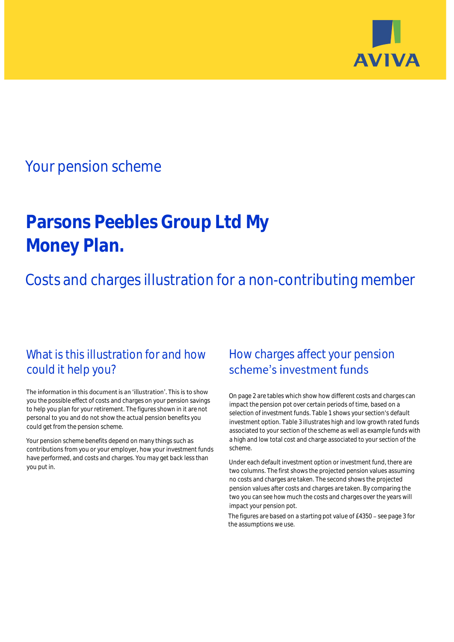

# Your pension scheme

# **Parsons Peebles Group Ltd My Money Plan.**

Costs and charges illustration for a non-contributing member

## What is this illustration for and how could it help you?

### The information in this document is an 'illustration'. This is to show you the possible effect of costs and charges on your pension savings to help you plan for your retirement. The figures shown in it are not personal to you and do not show the actual pension benefits you could get from the pension scheme.

Your pension scheme benefits depend on many things such as contributions from you or your employer, how your investment funds have performed, and costs and charges. You may get back less than you put in.

# How charges affect your pension scheme's investment funds

On page 2 are tables which show how different costs and charges can impact the pension pot over certain periods of time, based on a selection of investment funds. Table 1 shows your section's default investment option. Table 3 illustrates high and low growth rated funds associated to your section of the scheme as well as example funds with a high and low total cost and charge associated to your section of the scheme.

Under each default investment option or investment fund, there are two columns. The first shows the projected pension values assuming no costs and charges are taken. The second shows the projected pension values after costs and charges are taken. By comparing the two you can see how much the costs and charges over the years will impact your pension pot.

The figures are based on a starting pot value of  $£4350 -$  see page 3 for the assumptions we use.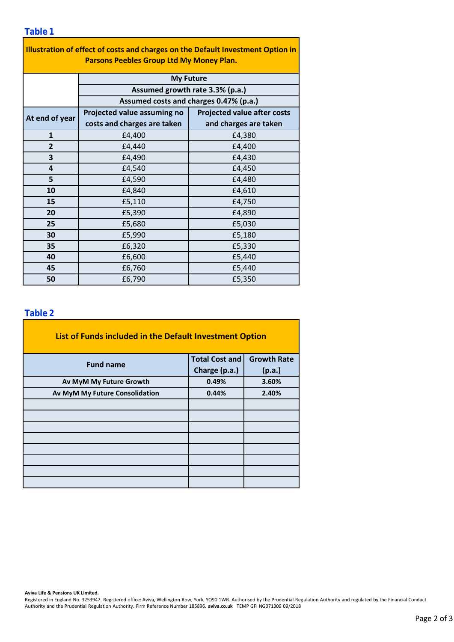| Illustration of effect of costs and charges on the Default Investment Option in<br>Parsons Peebles Group Ltd My Money Plan. |                                                                           |                                    |  |  |  |  |  |  |  |
|-----------------------------------------------------------------------------------------------------------------------------|---------------------------------------------------------------------------|------------------------------------|--|--|--|--|--|--|--|
|                                                                                                                             |                                                                           |                                    |  |  |  |  |  |  |  |
|                                                                                                                             | <b>My Future</b>                                                          |                                    |  |  |  |  |  |  |  |
|                                                                                                                             | Assumed growth rate 3.3% (p.a.)<br>Assumed costs and charges 0.47% (p.a.) |                                    |  |  |  |  |  |  |  |
|                                                                                                                             |                                                                           |                                    |  |  |  |  |  |  |  |
| At end of year                                                                                                              | Projected value assuming no                                               | <b>Projected value after costs</b> |  |  |  |  |  |  |  |
|                                                                                                                             | costs and charges are taken                                               | and charges are taken              |  |  |  |  |  |  |  |
| $\mathbf{1}$                                                                                                                | £4,400                                                                    | £4,380                             |  |  |  |  |  |  |  |
| $\overline{2}$                                                                                                              | £4,440                                                                    | £4,400                             |  |  |  |  |  |  |  |
| 3                                                                                                                           | £4,490                                                                    | £4,430                             |  |  |  |  |  |  |  |
| 4                                                                                                                           | £4,540                                                                    | £4,450                             |  |  |  |  |  |  |  |
| 5                                                                                                                           | £4,590                                                                    | £4,480                             |  |  |  |  |  |  |  |
| 10                                                                                                                          | £4,840                                                                    | £4,610                             |  |  |  |  |  |  |  |
| 15                                                                                                                          | £5,110                                                                    | £4,750                             |  |  |  |  |  |  |  |
| 20                                                                                                                          | £5,390                                                                    | £4,890                             |  |  |  |  |  |  |  |
| 25                                                                                                                          | £5,680                                                                    | £5,030                             |  |  |  |  |  |  |  |
| 30                                                                                                                          | £5,990                                                                    | £5,180                             |  |  |  |  |  |  |  |
| 35                                                                                                                          | £6,320                                                                    | £5,330                             |  |  |  |  |  |  |  |
| 40                                                                                                                          | £6,600                                                                    | £5,440                             |  |  |  |  |  |  |  |
| 45                                                                                                                          | £6,760                                                                    | £5,440                             |  |  |  |  |  |  |  |
| 50                                                                                                                          | £6,790                                                                    | £5,350                             |  |  |  |  |  |  |  |

### **Table 2**

| List of Funds included in the Default Investment Option |                       |                    |  |  |  |  |  |  |
|---------------------------------------------------------|-----------------------|--------------------|--|--|--|--|--|--|
| <b>Fund name</b>                                        | <b>Total Cost and</b> | <b>Growth Rate</b> |  |  |  |  |  |  |
|                                                         | Charge (p.a.)         | (p.a.)             |  |  |  |  |  |  |
| Av MyM My Future Growth                                 | 0.49%                 | 3.60%              |  |  |  |  |  |  |
| Av MyM My Future Consolidation                          | 0.44%                 | 2.40%              |  |  |  |  |  |  |
|                                                         |                       |                    |  |  |  |  |  |  |
|                                                         |                       |                    |  |  |  |  |  |  |
|                                                         |                       |                    |  |  |  |  |  |  |
|                                                         |                       |                    |  |  |  |  |  |  |
|                                                         |                       |                    |  |  |  |  |  |  |
|                                                         |                       |                    |  |  |  |  |  |  |
|                                                         |                       |                    |  |  |  |  |  |  |
|                                                         |                       |                    |  |  |  |  |  |  |

#### **Aviva Life & Pensions UK Limited.**

Registered in England No. 3253947. Registered office: Aviva, Wellington Row, York, YO90 1WR. Authorised by the Prudential Regulation Authority and regulated by the Financial Conduct Authority and the Prudential Regulation Authority. Firm Reference Number 185896. **aviva.co.uk** TEMP GFI NG071309 09/2018